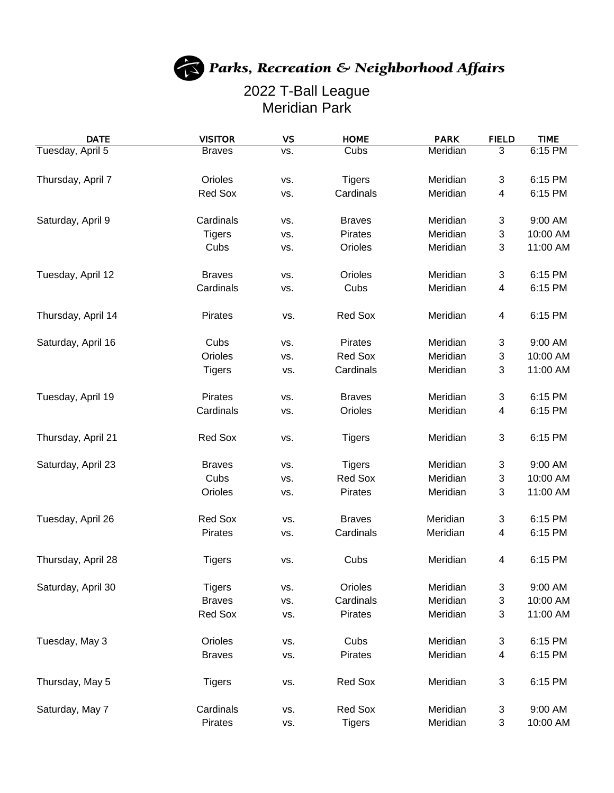## Parks, Recreation & Neighborhood Affairs

## 2022 T-Ball League Meridian Park

| <b>DATE</b>        | <b>VISITOR</b> | <b>VS</b> | <b>HOME</b>   | <b>PARK</b> | <b>FIELD</b>              | <b>TIME</b> |
|--------------------|----------------|-----------|---------------|-------------|---------------------------|-------------|
| Tuesday, April 5   | <b>Braves</b>  | VS.       | Cubs          | Meridian    | $\overline{3}$            | 6:15 PM     |
|                    |                |           |               |             |                           |             |
| Thursday, April 7  | Orioles        | VS.       | <b>Tigers</b> | Meridian    | 3                         | 6:15 PM     |
|                    | Red Sox        | VS.       | Cardinals     | Meridian    | 4                         | 6:15 PM     |
| Saturday, April 9  | Cardinals      | VS.       | <b>Braves</b> | Meridian    | 3                         | 9:00 AM     |
|                    | <b>Tigers</b>  | VS.       | Pirates       | Meridian    | 3                         | 10:00 AM    |
|                    | Cubs           | VS.       | Orioles       | Meridian    | 3                         | 11:00 AM    |
| Tuesday, April 12  | <b>Braves</b>  | VS.       | Orioles       | Meridian    | 3                         | 6:15 PM     |
|                    | Cardinals      | VS.       | Cubs          | Meridian    | 4                         | 6:15 PM     |
| Thursday, April 14 | Pirates        | VS.       | Red Sox       | Meridian    | 4                         | 6:15 PM     |
| Saturday, April 16 | Cubs           | VS.       | Pirates       | Meridian    | 3                         | 9:00 AM     |
|                    | Orioles        | VS.       | Red Sox       | Meridian    | 3                         | 10:00 AM    |
|                    | <b>Tigers</b>  | VS.       | Cardinals     | Meridian    | $\sqrt{3}$                | 11:00 AM    |
| Tuesday, April 19  | Pirates        | VS.       | <b>Braves</b> | Meridian    | 3                         | 6:15 PM     |
|                    | Cardinals      |           | Orioles       | Meridian    | 4                         | 6:15 PM     |
|                    |                | VS.       |               |             |                           |             |
| Thursday, April 21 | Red Sox        | VS.       | <b>Tigers</b> | Meridian    | 3                         | 6:15 PM     |
| Saturday, April 23 | <b>Braves</b>  | VS.       | <b>Tigers</b> | Meridian    | 3                         | 9:00 AM     |
|                    | Cubs           | VS.       | Red Sox       | Meridian    | 3                         | 10:00 AM    |
|                    | Orioles        | VS.       | Pirates       | Meridian    | 3                         | 11:00 AM    |
| Tuesday, April 26  | Red Sox        | VS.       | <b>Braves</b> | Meridian    | 3                         | 6:15 PM     |
|                    | <b>Pirates</b> | VS.       | Cardinals     | Meridian    | 4                         | 6:15 PM     |
| Thursday, April 28 | <b>Tigers</b>  | VS.       | Cubs          | Meridian    | 4                         | 6:15 PM     |
| Saturday, April 30 | <b>Tigers</b>  | VS.       | Orioles       | Meridian    | 3                         | 9:00 AM     |
|                    | <b>Braves</b>  | VS.       | Cardinals     | Meridian    | 3                         | 10:00 AM    |
|                    | Red Sox        | VS.       | Pirates       | Meridian    | 3                         | 11:00 AM    |
| Tuesday, May 3     | Orioles        | VS.       | Cubs          | Meridian    | 3                         | 6:15 PM     |
|                    | <b>Braves</b>  | VS.       | Pirates       | Meridian    | 4                         | 6:15 PM     |
|                    |                |           |               |             |                           |             |
| Thursday, May 5    | <b>Tigers</b>  | VS.       | Red Sox       | Meridian    | 3                         | 6:15 PM     |
| Saturday, May 7    | Cardinals      | VS.       | Red Sox       | Meridian    | $\ensuremath{\mathsf{3}}$ | 9:00 AM     |
|                    | Pirates        | VS.       | <b>Tigers</b> | Meridian    | 3                         | 10:00 AM    |